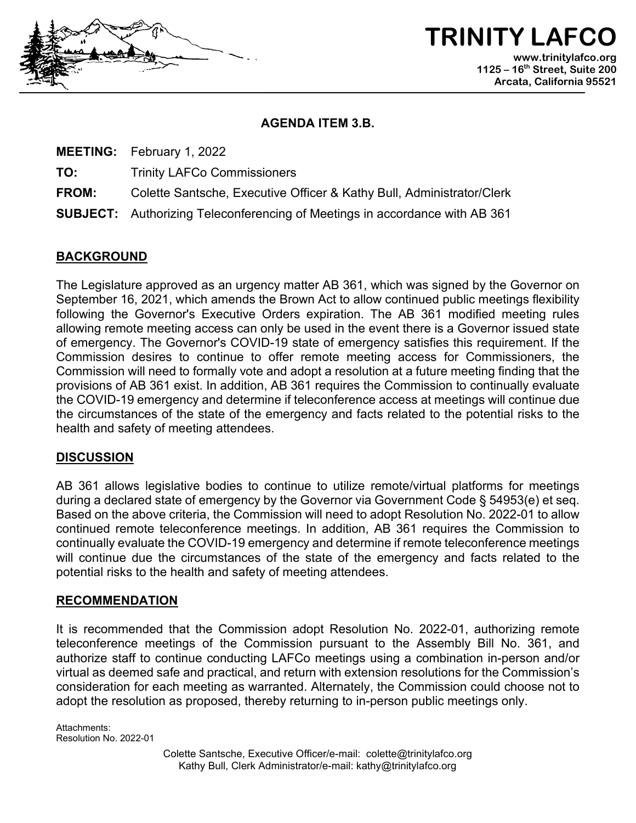

**TRINITY LAFCO www.trinitylafco.org 1125 – 16th Street, Suite 200 Arcata, California 95521**

### **AGENDA ITEM 3.B.**

**MEETING:** February 1, 2022

**TO:** Trinity LAFCo Commissioners

**FROM:** Colette Santsche, Executive Officer & Kathy Bull, Administrator/Clerk

**SUBJECT:** Authorizing Teleconferencing of Meetings in accordance with AB 361

# **BACKGROUND**

The Legislature approved as an urgency matter AB 361, which was signed by the Governor on September 16, 2021, which amends the Brown Act to allow continued public meetings flexibility following the Governor's Executive Orders expiration. The AB 361 modified meeting rules allowing remote meeting access can only be used in the event there is a Governor issued state of emergency. The Governor's COVID-19 state of emergency satisfies this requirement. If the Commission desires to continue to offer remote meeting access for Commissioners, the Commission will need to formally vote and adopt a resolution at a future meeting finding that the provisions of AB 361 exist. In addition, AB 361 requires the Commission to continually evaluate the COVID-19 emergency and determine if teleconference access at meetings will continue due the circumstances of the state of the emergency and facts related to the potential risks to the health and safety of meeting attendees.

# **DISCUSSION**

AB 361 allows legislative bodies to continue to utilize remote/virtual platforms for meetings during a declared state of emergency by the Governor via Government Code § 54953(e) et seq. Based on the above criteria, the Commission will need to adopt Resolution No. 2022-01 to allow continued remote teleconference meetings. In addition, AB 361 requires the Commission to continually evaluate the COVID-19 emergency and determine if remote teleconference meetings will continue due the circumstances of the state of the emergency and facts related to the potential risks to the health and safety of meeting attendees.

## **RECOMMENDATION**

It is recommended that the Commission adopt Resolution No. 2022-01, authorizing remote teleconference meetings of the Commission pursuant to the Assembly Bill No. 361, and authorize staff to continue conducting LAFCo meetings using a combination in-person and/or virtual as deemed safe and practical, and return with extension resolutions for the Commission's consideration for each meeting as warranted. Alternately, the Commission could choose not to adopt the resolution as proposed, thereby returning to in-person public meetings only.

Attachments: Resolution No. 2022-01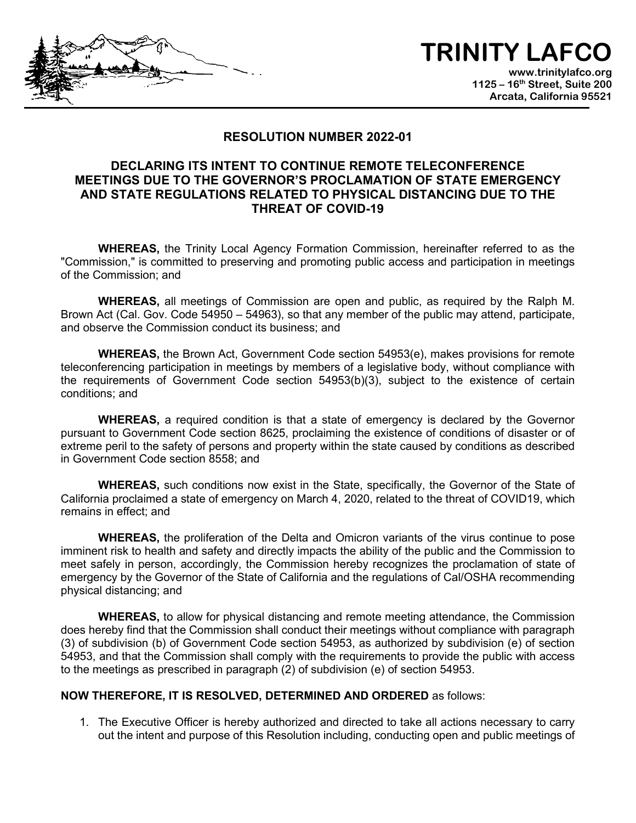# **TRINITY LAFCO**

**www.trinitylafco.org 1125 – 16th Street, Suite 200 Arcata, California 95521**

### **RESOLUTION NUMBER 2022-01**

## **DECLARING ITS INTENT TO CONTINUE REMOTE TELECONFERENCE MEETINGS DUE TO THE GOVERNOR'S PROCLAMATION OF STATE EMERGENCY AND STATE REGULATIONS RELATED TO PHYSICAL DISTANCING DUE TO THE THREAT OF COVID-19**

**WHEREAS,** the Trinity Local Agency Formation Commission, hereinafter referred to as the "Commission," is committed to preserving and promoting public access and participation in meetings of the Commission; and

**WHEREAS,** all meetings of Commission are open and public, as required by the Ralph M. Brown Act (Cal. Gov. Code 54950 – 54963), so that any member of the public may attend, participate, and observe the Commission conduct its business; and

**WHEREAS,** the Brown Act, Government Code section 54953(e), makes provisions for remote teleconferencing participation in meetings by members of a legislative body, without compliance with the requirements of Government Code section 54953(b)(3), subject to the existence of certain conditions; and

**WHEREAS,** a required condition is that a state of emergency is declared by the Governor pursuant to Government Code section 8625, proclaiming the existence of conditions of disaster or of extreme peril to the safety of persons and property within the state caused by conditions as described in Government Code section 8558; and

**WHEREAS,** such conditions now exist in the State, specifically, the Governor of the State of California proclaimed a state of emergency on March 4, 2020, related to the threat of COVID19, which remains in effect; and

**WHEREAS,** the proliferation of the Delta and Omicron variants of the virus continue to pose imminent risk to health and safety and directly impacts the ability of the public and the Commission to meet safely in person, accordingly, the Commission hereby recognizes the proclamation of state of emergency by the Governor of the State of California and the regulations of Cal/OSHA recommending physical distancing; and

**WHEREAS,** to allow for physical distancing and remote meeting attendance, the Commission does hereby find that the Commission shall conduct their meetings without compliance with paragraph (3) of subdivision (b) of Government Code section 54953, as authorized by subdivision (e) of section 54953, and that the Commission shall comply with the requirements to provide the public with access to the meetings as prescribed in paragraph (2) of subdivision (e) of section 54953.

#### **NOW THEREFORE, IT IS RESOLVED, DETERMINED AND ORDERED** as follows:

1. The Executive Officer is hereby authorized and directed to take all actions necessary to carry out the intent and purpose of this Resolution including, conducting open and public meetings of